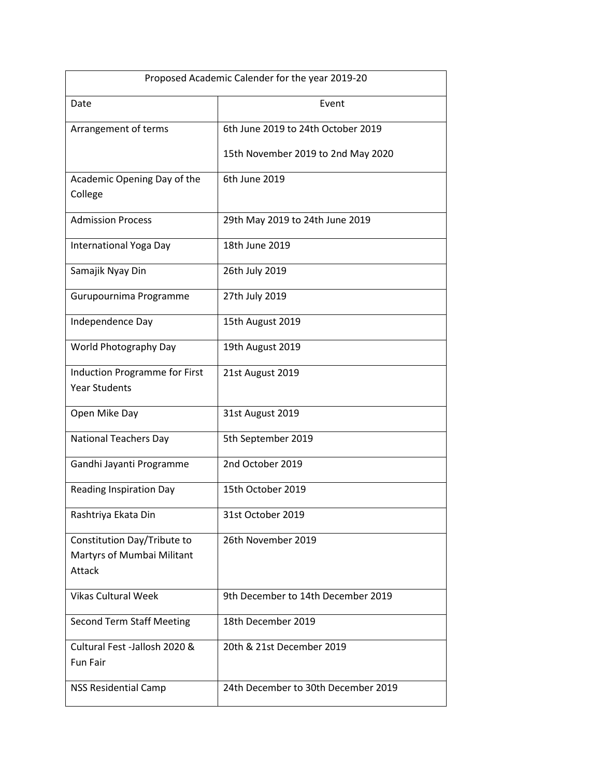| Proposed Academic Calender for the year 2019-20 |                                     |
|-------------------------------------------------|-------------------------------------|
| Date                                            | Event                               |
| Arrangement of terms                            | 6th June 2019 to 24th October 2019  |
|                                                 | 15th November 2019 to 2nd May 2020  |
| Academic Opening Day of the                     | 6th June 2019                       |
| College                                         |                                     |
| <b>Admission Process</b>                        | 29th May 2019 to 24th June 2019     |
| International Yoga Day                          | 18th June 2019                      |
| Samajik Nyay Din                                | 26th July 2019                      |
| Gurupournima Programme                          | 27th July 2019                      |
| Independence Day                                | 15th August 2019                    |
| World Photography Day                           | 19th August 2019                    |
| <b>Induction Programme for First</b>            | 21st August 2019                    |
| <b>Year Students</b>                            |                                     |
| Open Mike Day                                   | 31st August 2019                    |
| <b>National Teachers Day</b>                    | 5th September 2019                  |
| Gandhi Jayanti Programme                        | 2nd October 2019                    |
| <b>Reading Inspiration Day</b>                  | 15th October 2019                   |
| Rashtriya Ekata Din                             | 31st October 2019                   |
| Constitution Day/Tribute to                     | 26th November 2019                  |
| Martyrs of Mumbai Militant                      |                                     |
| Attack                                          |                                     |
| <b>Vikas Cultural Week</b>                      | 9th December to 14th December 2019  |
| <b>Second Term Staff Meeting</b>                | 18th December 2019                  |
| Cultural Fest -Jallosh 2020 &                   | 20th & 21st December 2019           |
| <b>Fun Fair</b>                                 |                                     |
| <b>NSS Residential Camp</b>                     | 24th December to 30th December 2019 |